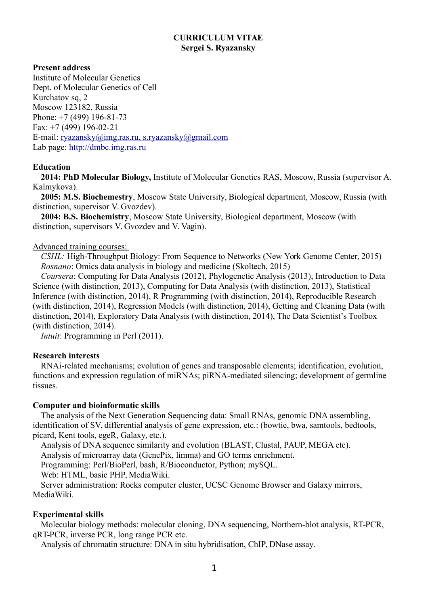# **CURRICULUM VITAE Sergei S. Ryazansky**

## **Present address**

Institute of Molecular Genetics Dept. of Molecular Genetics of Cell Kurchatov sq, 2 Moscow 123182, Russia Phone: +7 (499) 196-81-73 Fax: +7 (499) 196-02-21 E-mail: [ryazansky@img.ras.ru,](mailto:ryazansky@img.ras.ru) s.ryazansky@gmail.com Lab page: [http://dmbc.img.ras.ru](http://dmbc.img.ras.ru/)

## **Education**

**2014: PhD Molecular Biology,** Institute of Molecular Genetics RAS, Moscow, Russia (supervisor A. Kalmykova).

**2005: M.S. Biochemestry**, Moscow State University, Biological department, Moscow, Russia (with distinction, supervisor V. Gvozdev).

**2004: B.S. Biochemistry**, Moscow State University, Biological department, Moscow (with distinction, supervisors V. Gvozdev and V. Vagin).

## Advanced training courses:

*CSHL:* High-Throughput Biology: From Sequence to Networks (New York Genome Center, 2015) *Rosnano*: Omics data analysis in biology and medicine (Skoltech, 2015)

*Coursera*: Computing for Data Analysis (2012), Phylogenetic Analysis (2013), Introduction to Data Science (with distinction, 2013), Computing for Data Analysis (with distinction, 2013), Statistical Inference (with distinction, 2014), R Programming (with distinction, 2014), Reproducible Research (with distinction, 2014), Regression Models (with distinction, 2014), Getting and Cleaning Data (with distinction, 2014), Exploratory Data Analysis (with distinction, 2014), The Data Scientist's Toolbox (with distinction, 2014).

*Intuit*: Programming in Perl (2011).

# **Research interests**

RNAi-related mechanisms; evolution of genes and transposable elements; identification, evolution, functions and expression regulation of miRNAs; piRNA-mediated silencing; development of germline tissues.

## **Computer and bioinformatic skills**

The analysis of the Next Generation Sequencing data: Small RNAs, genomic DNA assembling, identification of SV, differential analysis of gene expression, etc.: (bowtie, bwa, samtools, bedtools, picard, Kent tools, egeR, Galaxy, etc.).

Analysis of DNA sequence similarity and evolution (BLAST, Clustal, PAUP, MEGA etc).

Analysis of microarray data (GenePix, limma) and GO terms enrichment.

Programming: Perl/BioPerl, bash, R/Bioconductor, Python; mySQL.

Web: HTML, basic PHP, MediaWiki.

Server administration: Rocks computer cluster, UCSC Genome Browser and Galaxy mirrors, MediaWiki.

# **Experimental skills**

Molecular biology methods: molecular cloning, DNA sequencing, Northern-blot analysis, RT-PCR, qRT-PCR, inverse PCR, long range PCR etc.

Analysis of chromatin structure: DNA in situ hybridisation, ChIP, DNase assay.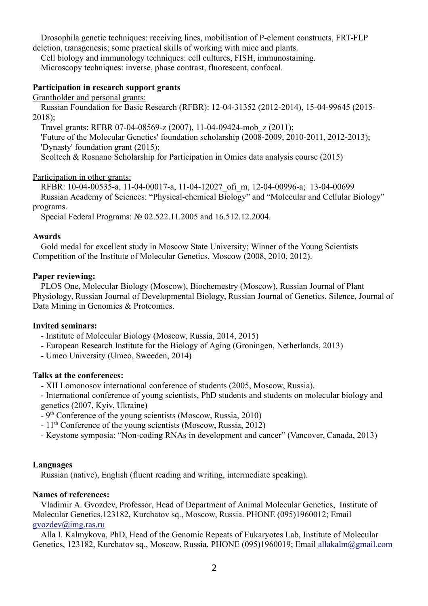Drosophila genetic techniques: receiving lines, mobilisation of P-element constructs, FRT-FLP deletion, transgenesis; some practical skills of working with mice and plants.

Cell biology and immunology techniques: cell cultures, FISH, immunostaining. Microscopy techniques: inverse, phase contrast, fluorescent, confocal.

### **Participation in research support grants**

Grantholder and personal grants:

Russian Foundation for Basic Research (RFBR): 12-04-31352 (2012-2014), 15-04-99645 (2015- 2018);

Travel grants: RFBR 07-04-08569-z (2007), 11-04-09424-mob\_z (2011);

'Future of the Molecular Genetics' foundation scholarship (2008-2009, 2010-2011, 2012-2013); 'Dynasty' foundation grant (2015);

Scoltech & Rosnano Scholarship for Participation in Omics data analysis course (2015)

Participation in other grants:

RFBR: 10-04-00535-a, 11-04-00017-a, 11-04-12027 ofi\_m, 12-04-00996-a; 13-04-00699 Russian Academy of Sciences: "Physical-chemical Biology" and "Molecular and Cellular Biology" programs.

Special Federal Programs: № 02.522.11.2005 and 16.512.12.2004.

#### **Awards**

Gold medal for excellent study in Moscow State University; Winner of the Young Scientists Competition of the Institute of Molecular Genetics, Moscow (2008, 2010, 2012).

### **Paper reviewing:**

PLOS One, Molecular Biology (Moscow), Biochemestry (Moscow), Russian Journal of Plant Physiology, Russian Journal of Developmental Biology, Russian Journal of Genetics, Silence, Journal of Data Mining in Genomics & Proteomics.

## **Invited seminars:**

- Institute of Molecular Biology (Moscow, Russia, 2014, 2015)
- European Research Institute for the Biology of Aging (Groningen, Netherlands, 2013)

- Umeo University (Umeo, Sweeden, 2014)

#### **Talks at the conferences:**

- ХII Lomonosov international conference of students (2005, Moscow, Russia).

- International conference of young scientists, PhD students and students on molecular biology and genetics (2007, Kyiv, Ukraine)

- $-9<sup>th</sup>$  Conference of the young scientists (Moscow, Russia, 2010)
- $-11<sup>th</sup>$  Conference of the young scientists (Moscow, Russia, 2012)
- Keystone symposia: "Non-coding RNAs in development and cancer" (Vancover, Canada, 2013)

#### **Languages**

Russian (native), English (fluent reading and writing, intermediate speaking).

## **Names of references:**

Vladimir A. Gvozdev, Professor, Head of Department of Animal Molecular Genetics, Institute of Molecular Genetics,123182, Kurchatov sq., Moscow, Russia. PHONE (095)1960012; Email [gvozdev@img.ras.ru](mailto:gvozdev@img.ras.ru)

Alla I. Kalmykova, PhD, Head of the Genomic Repeats of Eukaryotes Lab, Institute of Molecular Genetics, 123182, Kurchatov sq., Moscow, Russia. PHONE (095)1960019; Email [allakalm@gmail.com](mailto:allakalm@gmail.com)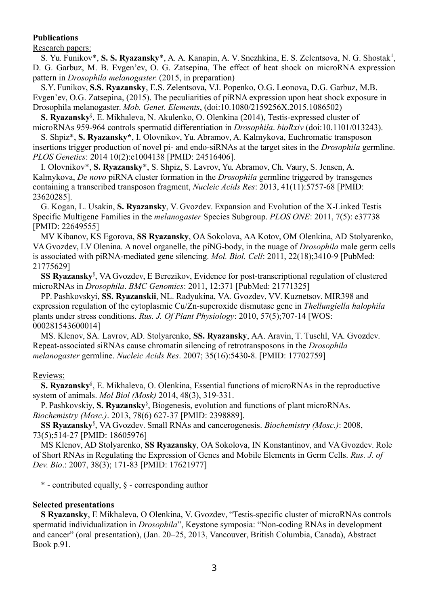## **Publications**

### Research papers:

S. Yu. Funikov\*, S. S. Ryazansky\*, A. A. Kanapin, A. V. Snezhkina, E. S. Zelentsova, N. G. Shostak<sup>1</sup>, D. G. Garbuz, M. B. Evgen'ev, O. G. Zatsepina, The effect of heat shock on microRNA expression pattern in *Drosophila melanogaster*. (2015, in preparation)

S.Y. Funikov, **S.S. Ryazansky**, E.S. Zelentsova, V.I. Popenko, O.G. Leonova, D.G. Garbuz, M.B. Evgen'ev, O.G. Zatsepina, (2015). The peculiarities of piRNA expression upon heat shock exposure in Drosophila melanogaster. *Mob. Genet. Elements*, (doi:10.1080/2159256X.2015.1086502)

**S. Ryazansky**§ , E. Mikhaleva, N. Akulenko, O. Olenkina (2014), Testis-expressed cluster of microRNAs 959-964 controls spermatid differentiation in *Drosophila*. *bioRxiv* (doi:10.1101/013243).

S. Shpiz\*, **S. Ryazansky\***, I. Olovnikov, Yu. Abramov, A. Kalmykova, Euchromatic transposon insertions trigger production of novel pi- and endo-siRNAs at the target sites in the *Drosophila* germline. *PLOS Genetics*: 2014 10(2):e1004138 [PMID: 24516406].

I. Olovnikov\*, **S. Ryazansky**\*, S. Shpiz, S. Lavrov, Yu. Abramov, Ch. Vaury, S. Jensen, A. Kalmykova, *De novo* piRNA cluster formation in the *Drosophila* germline triggered by transgenes containing a transcribed transposon fragment, *Nucleic Acids Res*: 2013, 41(11):5757-68 [PMID: 23620285].

G. Kogan, L. Usakin, **S. Ryazansky**, V. Gvozdev. Expansion and Evolution of the X-Linked Testis Specific Multigene Families in the *melanogaster* Species Subgroup. *PLOS ONE*: 2011, 7(5): e37738 [PMID: 22649555]

MV Kibanov, KS Egorova, **SS Ryazansky**, OA Sokolova, AA Kotov, OM Olenkina, AD Stolyarenko, VA Gvozdev, LV Olenina. A novel organelle, the piNG-body, in the nuage of *Drosophila* male germ cells is associated with piRNA-mediated gene silencing. *Mol. Biol. Cell*: 2011, 22(18);3410-9 [PubMed: 21775629]

**SS Ryazansky**§ , VA Gvozdev, E Berezikov, Evidence for post-transcriptional regulation of clustered microRNAs in *Drosophila*. *BMC Genomics*: 2011, 12:371 [PubMed: 21771325]

PP. Pashkovskyi, **SS. Ryazanskii**, NL. Radyukina, VA. Gvozdev, VV. Kuznetsov. MIR398 and expression regulation of the cytoplasmic Cu/Zn-superoxide dismutase gene in *Thellungiella halophila* plants under stress conditions. *Rus. J. Of Plant Physiology*: 2010, 57(5);707-14 [WOS: 000281543600014]

MS. Klenov, SA. Lavrov, AD. Stolyarenko, **SS. Ryazansky**, AA. Aravin, T. Tuschl, VA. Gvozdev. Repeat-associated siRNAs cause chromatin silencing of retrotransposons in the *Drosophila melanogaster* germline. *Nucleic Acids Res*. 2007; 35(16):5430-8. [PMID: 17702759]

## Reviews:

**S. Ryazansky**§ , E. Mikhaleva, O. Olenkina, Essential functions of microRNAs in the reproductive system of animals. *Mol Biol (Mosk)* 2014, 48(3), 319-331.

P. Pashkovskiy, **S. Ryazansky**§ , Biogenesis, evolution and functions of plant microRNAs. *Biochemistry (Mosc.)*. 2013, 78(6) 627-37 [PMID: 2398889].

**SS Ryazansky**§ , VA Gvozdev. Small RNAs and cancerogenesis. *Biochemistry (Mosc.)*: 2008, 73(5);514-27 [PMID: 18605976]

MS Klenov, AD Stolyarenko, **SS Ryazansky**, OA Sokolova, IN Konstantinov, and VA Gvozdev. Role of Short RNAs in Regulating the Expression of Genes and Mobile Elements in Germ Cells. *Rus. J. of Dev. Bio*.: 2007, 38(3); 171-83 [PMID: 17621977]

\* - contributed equally, § - corresponding author

## **Selected presentations**

**S Ryazansky**, E Mikhaleva, O Olenkina, V. Gvozdev, "Testis-specific cluster of microRNAs controls spermatid individualization in *Drosophila*", Keystone symposia: "Non-coding RNAs in development and cancer" (oral presentation), (Jan. 20–25, 2013, Vancouver, British Columbia, Canada), Abstract Book p.91.